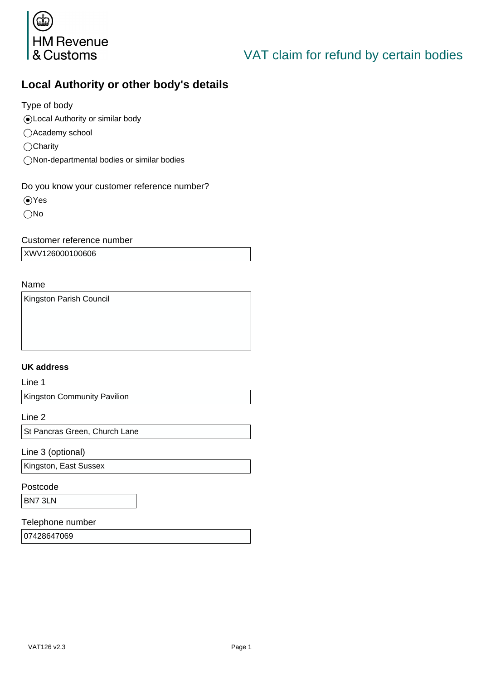

# VAT claim for refund by certain bodies

## **Local Authority or other body's details**

Type of body

- Local Authority or similar body
- ○Academy school
- $\bigcirc$ Charity
- Non-departmental bodies or similar bodies

#### Do you know your customer reference number?

- Yes
- No

#### Customer reference number

XWV126000100606

#### Name

Kingston Parish Council

#### **UK address**

Line 1

Kingston Community Pavilion

Line 2

St Pancras Green, Church Lane

Line 3 (optional)

Kingston, East Sussex

Postcode

BN7 3LN

#### Telephone number

07428647069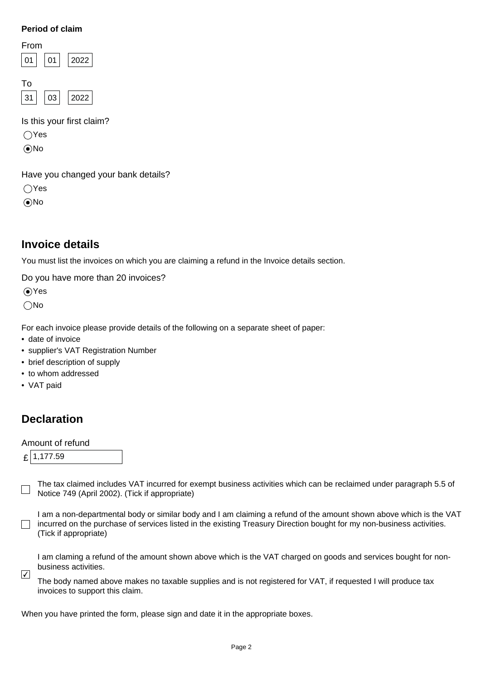#### **Period of claim**

| 01 | 2022 |
|----|------|
|    |      |
|    |      |
| 03 | 2022 |
|    | From |

Is this your first claim?

Yes

No

Have you changed your bank details?

 $\bigcap$ Yes

No

## **Invoice details**

You must list the invoices on which you are claiming a refund in the Invoice details section.

Do you have more than 20 invoices?

Yes

No

For each invoice please provide details of the following on a separate sheet of paper:

- date of invoice
- supplier's VAT Registration Number
- brief description of supply
- to whom addressed
- VAT paid

## **Declaration**

#### Amount of refund

 $f$  1,177.59

The tax claimed includes VAT incurred for exempt business activities which can be reclaimed under paragraph 5.5 of  $\Box$ Notice 749 (April 2002). (Tick if appropriate)

I am a non-departmental body or similar body and I am claiming a refund of the amount shown above which is the VAT  $\Box$  incurred on the purchase of services listed in the existing Treasury Direction bought for my non-business activities. (Tick if appropriate)

I am claming a refund of the amount shown above which is the VAT charged on goods and services bought for nonbusiness activities.

The body named above makes no taxable supplies and is not registered for VAT, if requested I will produce tax invoices to support this claim.  $\sqrt{ }$ 

When you have printed the form, please sign and date it in the appropriate boxes.